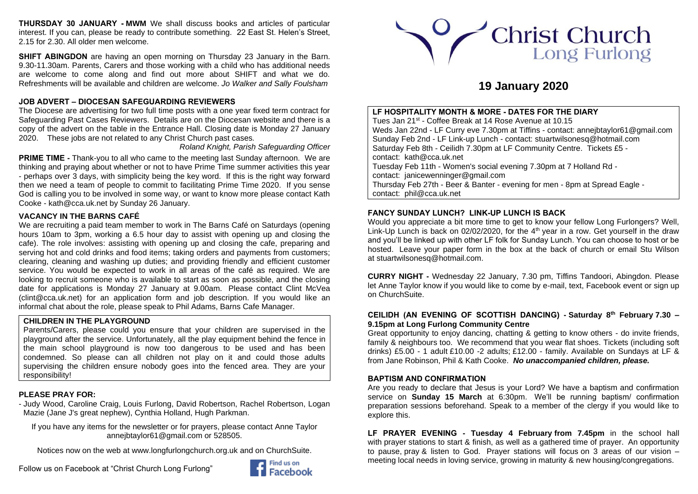**THURSDAY 30 JANUARY - MWM** We shall discuss books and articles of particular interest. If you can, please be ready to contribute something. 22 East St. Helen's Street, 2.15 for 2.30. All older men welcome.

**SHIFT ABINGDON** are having an open morning on Thursday 23 January in the Barn. 9.30-11.30am. Parents, Carers and those working with a child who has additional needs are welcome to come along and find out more about SHIFT and what we do. Refreshments will be available and children are welcome. *Jo Walker and Sally Foulsham*

## **JOB ADVERT – DIOCESAN SAFEGUARDING REVIEWERS**

The Diocese are advertising for two full time posts with a one year fixed term contract for Safeguarding Past Cases Reviewers. Details are on the Diocesan website and there is a copy of the advert on the table in the Entrance Hall. Closing date is Monday 27 January 2020. These jobs are not related to any Christ Church past cases*.* 

*Roland Knight, Parish Safeguarding Officer*

**PRIME TIME -** Thank-you to all who came to the meeting last Sunday afternoon. We are thinking and praying about whether or not to have Prime Time summer activities this year - perhaps over 3 days, with simplicity being the key word. If this is the right way forward then we need a team of people to commit to facilitating Prime Time 2020. If you sense God is calling you to be involved in some way, or want to know more please contact Kath Cooke - [kath@cca.uk.net](mailto:kath@cca.uk.net) by Sunday 26 January.

# **VACANCY IN THE BARNS CAFÉ**

We are recruiting a paid team member to work in The Barns Café on Saturdays (opening hours 10am to 3pm, working a 6.5 hour day to assist with opening up and closing the cafe). The role involves: assisting with opening up and closing the cafe, preparing and serving hot and cold drinks and food items; taking orders and payments from customers; clearing, cleaning and washing up duties; and providing friendly and efficient customer service. You would be expected to work in all areas of the café as required. We are looking to recruit someone who is available to start as soon as possible, and the closing date for applications is Monday 27 January at 9.00am. Please contact Clint McVea [\(clint@cca.uk.net\)](mailto:clint@cca.uk.net) for an application form and job description. If you would like an informal chat about the role, please speak to Phil Adams, Barns Cafe Manager.

# **CHILDREN IN THE PLAYGROUND**

Parents/Carers, please could you ensure that your children are supervised in the playground after the service. Unfortunately, all the play equipment behind the fence in the main school playground is now too dangerous to be used and has been condemned. So please can all children not play on it and could those adults supervising the children ensure nobody goes into the fenced area. They are your responsibility!

# **PLEASE PRAY FOR:**

- Judy Wood, Caroline Craig, Louis Furlong, David Robertson, Rachel Robertson, Logan Mazie (Jane J's great nephew), Cynthia Holland, Hugh Parkman.

If you have any items for the newsletter or for prayers, please contact Anne Taylor [annejbtaylor61@gmail.com](mailto:annejbtaylor61@gmail.com) or 528505.

Notices now on the web at [www.longfurlongchurch.org.uk](http://www.longfurlongchurch.org.uk/) and on ChurchSuite.

Follow us on Facebook at "Christ Church Long Furlong"





# **19 January 2020**

**LF HOSPITALITY MONTH & MORE - DATES FOR THE DIARY** Tues Jan 21st - Coffee Break at 14 Rose Avenue at 10.15 Weds Jan 22nd - LF Curry eve 7.30pm at Tiffins - contact: [annejbtaylor61@gmail.com](mailto:annejbtaylor61@gmail.com) Sunday Feb 2nd - LF Link-up Lunch - contact: [stuartwilsonesq@hotmail.com](mailto:stuartwilsonesq@hotmail.com) Saturday Feb 8th - Ceilidh 7.30pm at LF Community Centre. Tickets £5 contact: [kath@cca.uk.net](mailto:kath@cca.uk.net) Tuesday Feb 11th - Women's social evening 7.30pm at 7 Holland Rd contact: [janicewenninger@gmail.com](mailto:janicewenninger@gmail.com) Thursday Feb 27th - Beer & Banter - evening for men - 8pm at Spread Eagle contact: [phil@cca.uk.net](mailto:phil@cca.uk.net)

# **FANCY SUNDAY LUNCH? LINK-UP LUNCH IS BACK**

Would you appreciate a bit more time to get to know your fellow Long Furlongers? Well, Link-Up Lunch is back on 02/02/2020, for the  $4<sup>th</sup>$  year in a row. Get yourself in the draw and you'll be linked up with other LF folk for Sunday Lunch. You can choose to host or be hosted. Leave your paper form in the box at the back of church or email Stu Wilson at [stuartwilsonesq@hotmail.com.](mailto:stuartwilsonesq@hotmail.com)

**CURRY NIGHT -** Wednesday 22 January, 7.30 pm, Tiffins Tandoori, Abingdon. Please let Anne Taylor know if you would like to come by e-mail, text, Facebook event or sign up on ChurchSuite.

# **CEILIDH (AN EVENING OF SCOTTISH DANCING) - Saturday 8th February 7.30 – 9.15pm at Long Furlong Community Centre**

Great opportunity to enjoy dancing, chatting & getting to know others - do invite friends, family & neighbours too.We recommend that you wear flat shoes. Tickets (including soft drinks) £5.00 - 1 adult £10.00 -2 adults; £12.00 - family. Available on Sundays at LF & from Jane Robinson, Phil & Kath Cooke. *No unaccompanied children, please.*

## **BAPTISM AND CONFIRMATION**

Are you ready to declare that Jesus is your Lord? We have a baptism and confirmation service on **Sunday 15 March** at 6:30pm. We'll be running baptism/ confirmation preparation sessions beforehand. Speak to a member of the clergy if you would like to explore this.

**LF PRAYER EVENING - Tuesday 4 February from 7.45pm** in the school hall with prayer stations to start & finish, as well as a gathered time of prayer. An opportunity to pause, pray & listen to God. Prayer stations will focus on 3 areas of our vision – meeting local needs in loving service, growing in maturity & new housing/congregations.